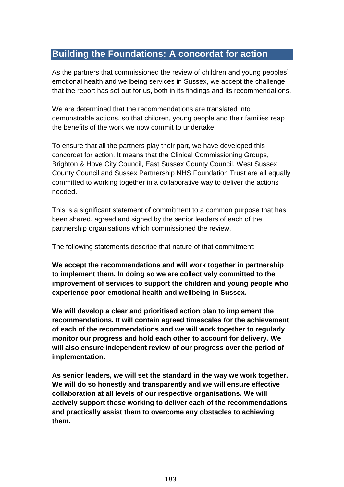## **Building the Foundations: A concordat for action**

As the partners that commissioned the review of children and young peoples' emotional health and wellbeing services in Sussex, we accept the challenge that the report has set out for us, both in its findings and its recommendations.

We are determined that the recommendations are translated into demonstrable actions, so that children, young people and their families reap the benefits of the work we now commit to undertake.

To ensure that all the partners play their part, we have developed this concordat for action. It means that the Clinical Commissioning Groups, Brighton & Hove City Council, East Sussex County Council, West Sussex County Council and Sussex Partnership NHS Foundation Trust are all equally committed to working together in a collaborative way to deliver the actions needed.

This is a significant statement of commitment to a common purpose that has been shared, agreed and signed by the senior leaders of each of the partnership organisations which commissioned the review.

The following statements describe that nature of that commitment:

**We accept the recommendations and will work together in partnership to implement them. In doing so we are collectively committed to the improvement of services to support the children and young people who experience poor emotional health and wellbeing in Sussex.**

**We will develop a clear and prioritised action plan to implement the recommendations. It will contain agreed timescales for the achievement of each of the recommendations and we will work together to regularly monitor our progress and hold each other to account for delivery. We will also ensure independent review of our progress over the period of implementation.**

**As senior leaders, we will set the standard in the way we work together. We will do so honestly and transparently and we will ensure effective collaboration at all levels of our respective organisations. We will actively support those working to deliver each of the recommendations and practically assist them to overcome any obstacles to achieving them.**